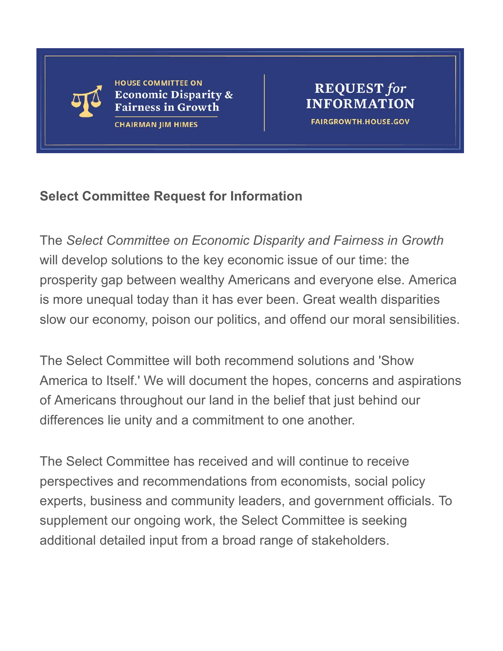

**HOUSE COMMITTEE ON Economic Disparity & Fairness in Growth** 

**CHAIRMAN JIM HIMES** 

#### **REQUEST** for **INFORMATION FAIRGROWTH.HOUSE.GOV**

### **Select Committee Request for Information**

The *Select Committee on Economic Disparity and Fairness in Growth* will develop solutions to the key economic issue of our time: the prosperity gap between wealthy Americans and everyone else. America is more unequal today than it has ever been. Great wealth disparities slow our economy, poison our politics, and offend our moral sensibilities.

The Select Committee will both recommend solutions and 'Show America to Itself.' We will document the hopes, concerns and aspirations of Americans throughout our land in the belief that just behind our differences lie unity and a commitment to one another.

The Select Committee has received and will continue to receive perspectives and recommendations from economists, social policy experts, business and community leaders, and government officials. To supplement our ongoing work, the Select Committee is seeking additional detailed input from a broad range of stakeholders.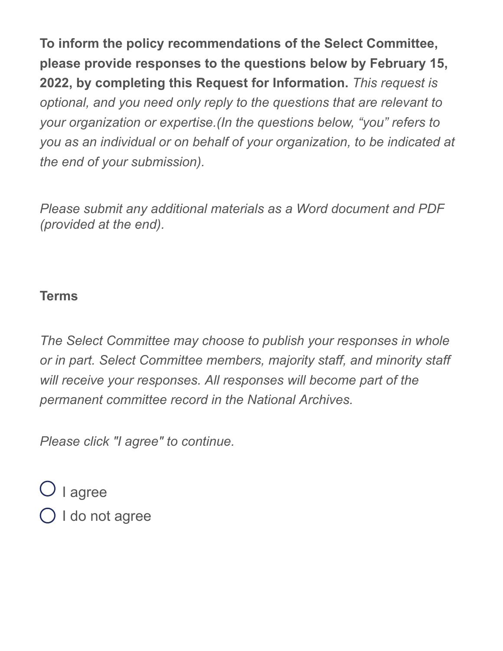**To inform the policy recommendations of the Select Committee, please provide responses to the questions below by February 15, 2022, by completing this Request for Information.** *This request is optional, and you need only reply to the questions that are relevant to your organization or expertise.(In the questions below, "you" refers to you as an individual or on behalf of your organization, to be indicated at the end of your submission).* 

*Please submit any additional materials as a Word document and PDF (provided at the end).*

### **Terms**

*The Select Committee may choose to publish your responses in whole or in part. Select Committee members, majority staff, and minority staff will receive your responses. All responses will become part of the permanent committee record in the National Archives.* 

*Please click "I agree" to continue.*

 $\bigcirc$  I agree  $\bigcirc$  I do not agree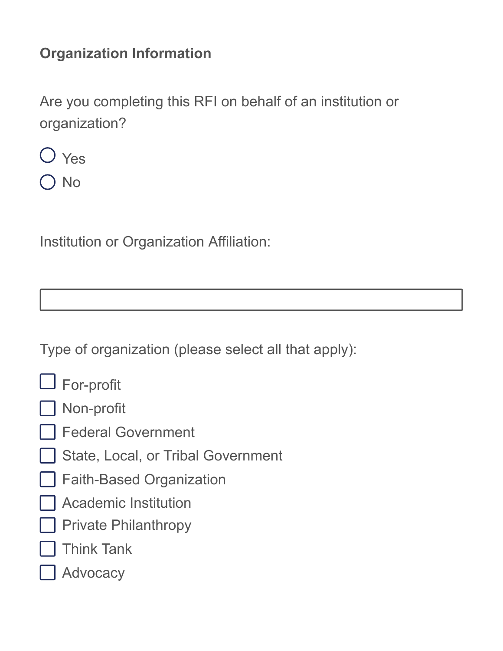## **Organization Information**

Are you completing this RFI on behalf of an institution or organization?



No

Institution or Organization Affiliation:

Type of organization (please select all that apply):

| <b>For-profit</b> |
|-------------------|
|-------------------|



- Federal Government
- State, Local, or Tribal Government
- Faith-Based Organization
- Academic Institution
- Private Philanthropy
- Think Tank
- Advocacy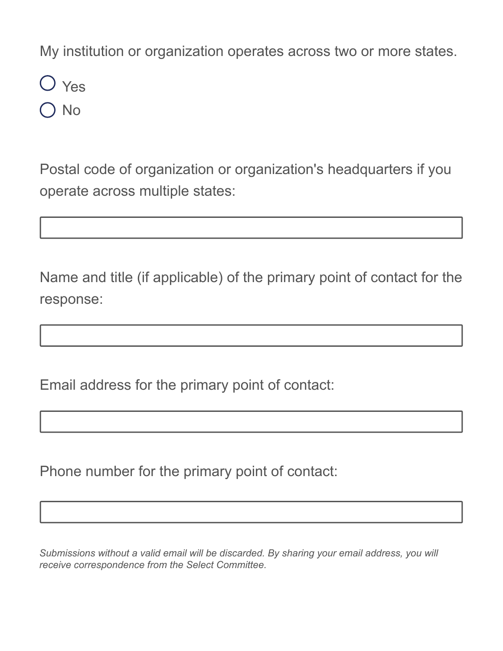My institution or organization operates across two or more states.

Yes No

Postal code of organization or organization's headquarters if you operate across multiple states:

Name and title (if applicable) of the primary point of contact for the response:

Email address for the primary point of contact:

Phone number for the primary point of contact:

*Submissions without a valid email will be discarded. By sharing your email address, you will receive correspondence from the Select Committee.*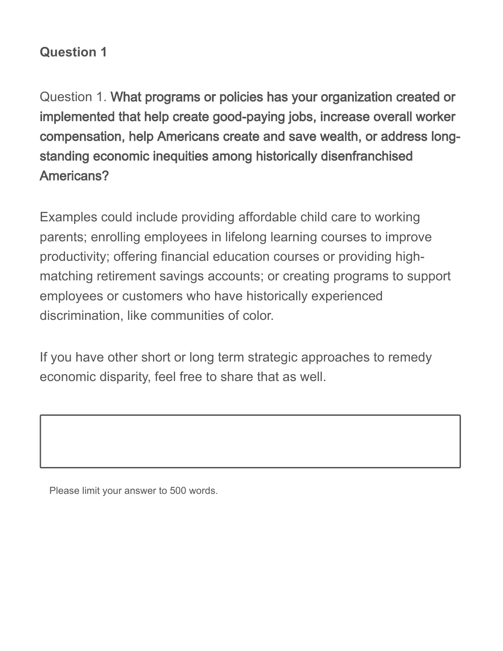## **Question 1**

Question 1. What programs or policies has your organization created or implemented that help create good-paying jobs, increase overall worker compensation, help Americans create and save wealth, or address longstanding economic inequities among historically disenfranchised Americans?

Examples could include providing affordable child care to working parents; enrolling employees in lifelong learning courses to improve productivity; offering financial education courses or providing highmatching retirement savings accounts; or creating programs to support employees or customers who have historically experienced discrimination, like communities of color.

If you have other short or long term strategic approaches to remedy economic disparity, feel free to share that as well.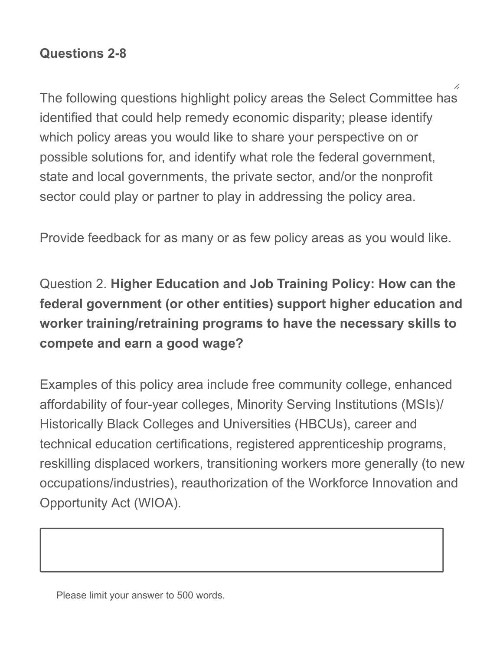### **Questions 2-8**

The following questions highlight policy areas the Select Committee has identified that could help remedy economic disparity; please identify which policy areas you would like to share your perspective on or possible solutions for, and identify what role the federal government, state and local governments, the private sector, and/or the nonprofit sector could play or partner to play in addressing the policy area.

Provide feedback for as many or as few policy areas as you would like.

Question 2. **Higher Education and Job Training Policy: How can the federal government (or other entities) support higher education and worker training/retraining programs to have the necessary skills to compete and earn a good wage?**

Examples of this policy area include free community college, enhanced affordability of four-year colleges, Minority Serving Institutions (MSIs)/ Historically Black Colleges and Universities (HBCUs), career and technical education certifications, registered apprenticeship programs, reskilling displaced workers, transitioning workers more generally (to new occupations/industries), reauthorization of the Workforce Innovation and Opportunity Act (WIOA).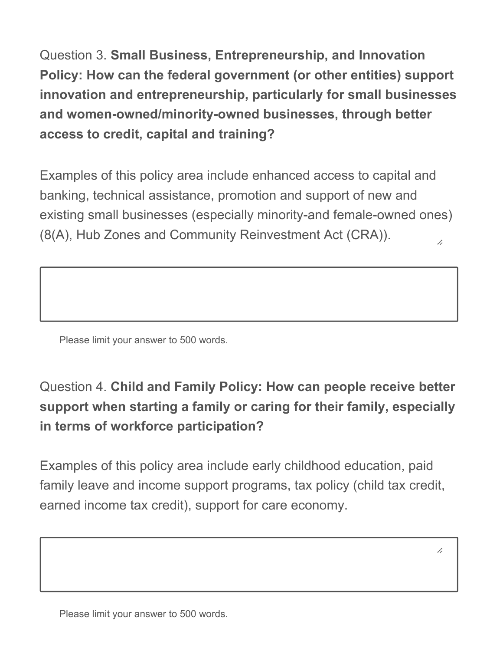Question 3. **Small Business, Entrepreneurship, and Innovation Policy: How can the federal government (or other entities) support innovation and entrepreneurship, particularly for small businesses and women-owned/minority-owned businesses, through better access to credit, capital and training?** 

Examples of this policy area include enhanced access to capital and banking, technical assistance, promotion and support of new and existing small businesses (especially minority-and female-owned ones) (8(A), Hub Zones and Community Reinvestment Act (CRA)). 7,

Please limit your answer to 500 words.

# Question 4. **Child and Family Policy: How can people receive better support when starting a family or caring for their family, especially in terms of workforce participation?**

Examples of this policy area include early childhood education, paid family leave and income support programs, tax policy (child tax credit, earned income tax credit), support for care economy.

/,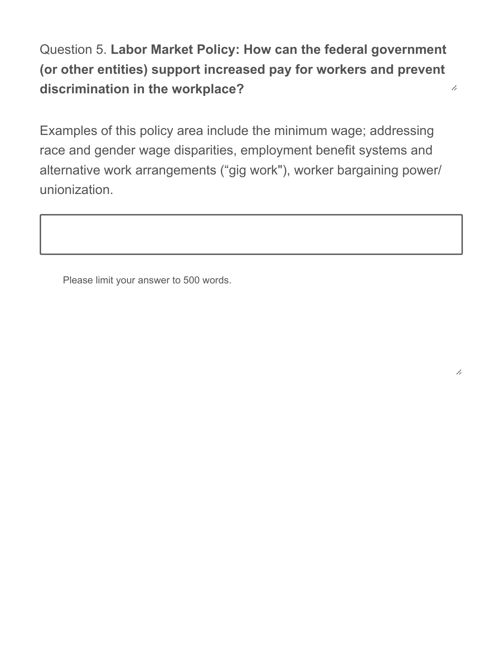Question 5. **Labor Market Policy: How can the federal government (or other entities) support increased pay for workers and prevent discrimination in the workplace?**  7,

Examples of this policy area include the minimum wage; addressing race and gender wage disparities, employment benefit systems and alternative work arrangements ("gig work"), worker bargaining power/ unionization.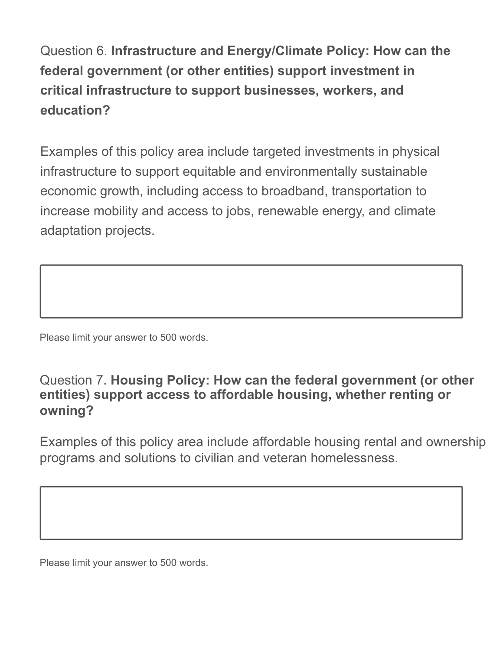Question 6. **Infrastructure and Energy/Climate Policy: How can the federal government (or other entities) support investment in critical infrastructure to support businesses, workers, and education?**

Examples of this policy area include targeted investments in physical infrastructure to support equitable and environmentally sustainable economic growth, including access to broadband, transportation to increase mobility and access to jobs, renewable energy, and climate adaptation projects.

Please limit your answer to 500 words.

### Question 7. **Housing Policy: How can the federal government (or other entities) support access to affordable housing, whether renting or owning?**

Examples of this policy area include affordable housing rental and ownership programs and solutions to civilian and veteran homelessness.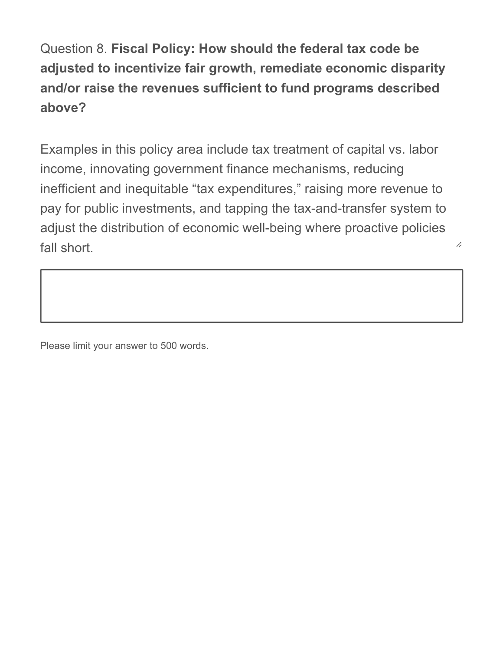Question 8. **Fiscal Policy: How should the federal tax code be adjusted to incentivize fair growth, remediate economic disparity and/or raise the revenues sufficient to fund programs described above?**

Examples in this policy area include tax treatment of capital vs. labor income, innovating government finance mechanisms, reducing inefficient and inequitable "tax expenditures," raising more revenue to pay for public investments, and tapping the tax-and-transfer system to adjust the distribution of economic well-being where proactive policies fall short.

h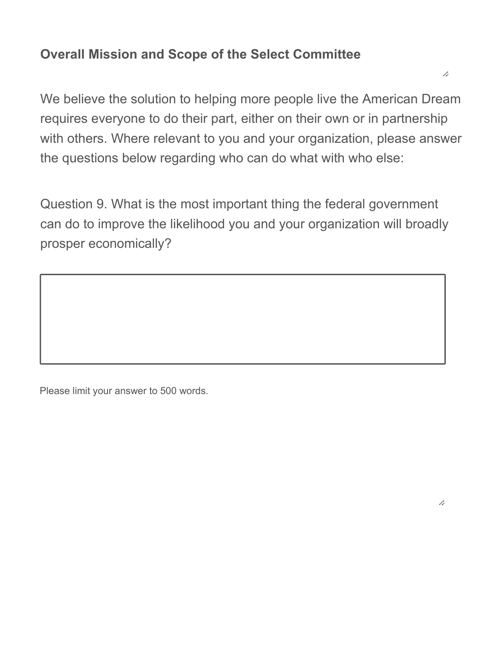### **Overall Mission and Scope of the Select Committee**

We believe the solution to helping more people live the American Dream requires everyone to do their part, either on their own or in partnership with others. Where relevant to you and your organization, please answer the questions below regarding who can do what with who else:

Question 9. What is the most important thing the federal government can do to improve the likelihood you and your organization will broadly prosper economically?

Please limit your answer to 500 words.

7,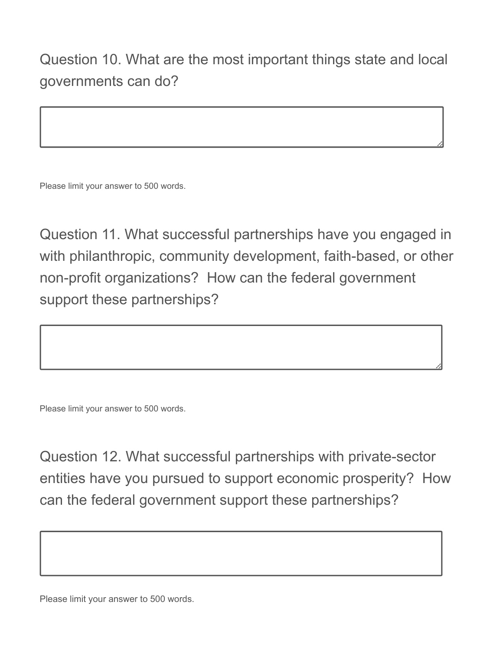Question 10. What are the most important things state and local governments can do?

Please limit your answer to 500 words.

Question 11. What successful partnerships have you engaged in with philanthropic, community development, faith-based, or other non-profit organizations? How can the federal government support these partnerships?

Please limit your answer to 500 words.

Question 12. What successful partnerships with private-sector entities have you pursued to support economic prosperity? How can the federal government support these partnerships?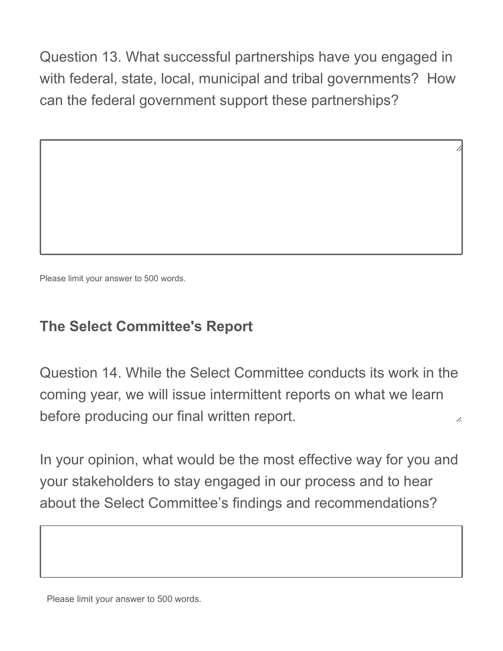Question 13. What successful partnerships have you engaged in with federal, state, local, municipal and tribal governments? How can the federal government support these partnerships?

Please limit your answer to 500 words.

## **The Select Committee's Report**

Question 14. While the Select Committee conducts its work in the coming year, we will issue intermittent reports on what we learn before producing our final written report. 7,

In your opinion, what would be the most effective way for you and your stakeholders to stay engaged in our process and to hear about the Select Committee's findings and recommendations?